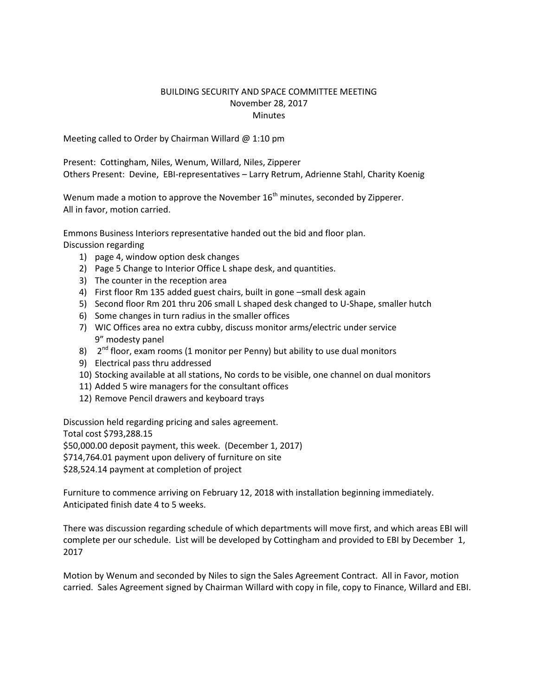## BUILDING SECURITY AND SPACE COMMITTEE MEETING November 28, 2017 **Minutes**

Meeting called to Order by Chairman Willard @ 1:10 pm

Present: Cottingham, Niles, Wenum, Willard, Niles, Zipperer Others Present: Devine, EBI-representatives – Larry Retrum, Adrienne Stahl, Charity Koenig

Wenum made a motion to approve the November  $16<sup>th</sup>$  minutes, seconded by Zipperer. All in favor, motion carried.

Emmons Business Interiors representative handed out the bid and floor plan. Discussion regarding

- 1) page 4, window option desk changes
- 2) Page 5 Change to Interior Office L shape desk, and quantities.
- 3) The counter in the reception area
- 4) First floor Rm 135 added guest chairs, built in gone –small desk again
- 5) Second floor Rm 201 thru 206 small L shaped desk changed to U-Shape, smaller hutch
- 6) Some changes in turn radius in the smaller offices
- 7) WIC Offices area no extra cubby, discuss monitor arms/electric under service 9" modesty panel
- 8) 2<sup>nd</sup> floor, exam rooms (1 monitor per Penny) but ability to use dual monitors
- 9) Electrical pass thru addressed
- 10) Stocking available at all stations, No cords to be visible, one channel on dual monitors
- 11) Added 5 wire managers for the consultant offices
- 12) Remove Pencil drawers and keyboard trays

Discussion held regarding pricing and sales agreement.

Total cost \$793,288.15

\$50,000.00 deposit payment, this week. (December 1, 2017)

\$714,764.01 payment upon delivery of furniture on site

\$28,524.14 payment at completion of project

Furniture to commence arriving on February 12, 2018 with installation beginning immediately. Anticipated finish date 4 to 5 weeks.

There was discussion regarding schedule of which departments will move first, and which areas EBI will complete per our schedule. List will be developed by Cottingham and provided to EBI by December 1, 2017

Motion by Wenum and seconded by Niles to sign the Sales Agreement Contract. All in Favor, motion carried. Sales Agreement signed by Chairman Willard with copy in file, copy to Finance, Willard and EBI.